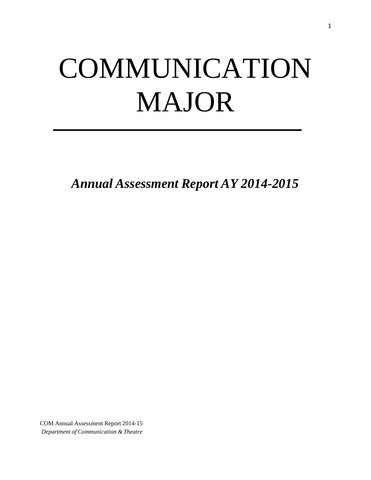# COMMUNICATION MAJOR

*Annual Assessment Report AY 2014-2015*

COM Annual Assessment Report 2014-15 *Department of Communication & Theatre*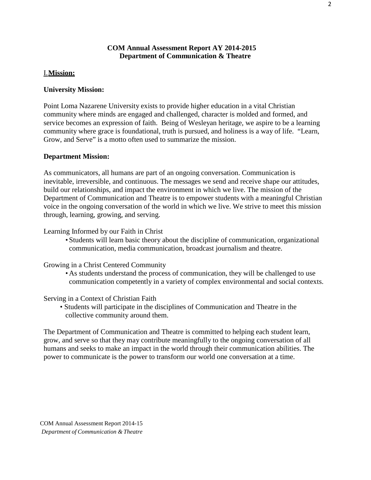# **COM Annual Assessment Report AY 2014-2015 Department of Communication & Theatre**

# I.**Mission:**

# **University Mission:**

Point Loma Nazarene University exists to provide higher education in a vital Christian community where minds are engaged and challenged, character is molded and formed, and service becomes an expression of faith. Being of Wesleyan heritage, we aspire to be a learning community where grace is foundational, truth is pursued, and holiness is a way of life. "Learn, Grow, and Serve" is a motto often used to summarize the mission.

# **Department Mission:**

As communicators, all humans are part of an ongoing conversation. Communication is inevitable, irreversible, and continuous. The messages we send and receive shape our attitudes, build our relationships, and impact the environment in which we live. The mission of the Department of Communication and Theatre is to empower students with a meaningful Christian voice in the ongoing conversation of the world in which we live. We strive to meet this mission through, learning, growing, and serving.

# Learning Informed by our Faith in Christ

• Students will learn basic theory about the discipline of communication, organizational communication, media communication, broadcast journalism and theatre.

Growing in a Christ Centered Community

• As students understand the process of communication, they will be challenged to use communication competently in a variety of complex environmental and social contexts.

Serving in a Context of Christian Faith

• Students will participate in the disciplines of Communication and Theatre in the collective community around them.

The Department of Communication and Theatre is committed to helping each student learn, grow, and serve so that they may contribute meaningfully to the ongoing conversation of all humans and seeks to make an impact in the world through their communication abilities. The power to communicate is the power to transform our world one conversation at a time.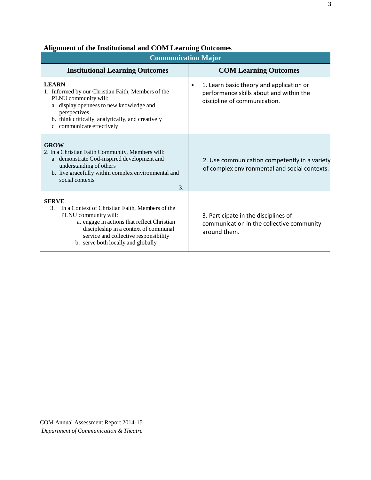| <b>Communication Major</b>                                                                                                                                                                                                                                           |                                                                                                                                  |  |  |  |  |
|----------------------------------------------------------------------------------------------------------------------------------------------------------------------------------------------------------------------------------------------------------------------|----------------------------------------------------------------------------------------------------------------------------------|--|--|--|--|
| <b>Institutional Learning Outcomes</b>                                                                                                                                                                                                                               | <b>COM Learning Outcomes</b>                                                                                                     |  |  |  |  |
| <b>LEARN</b><br>1. Informed by our Christian Faith, Members of the<br>PLNU community will:<br>a. display openness to new knowledge and<br>perspectives<br>b. think critically, analytically, and creatively<br>c. communicate effectively                            | 1. Learn basic theory and application or<br>$\bullet$<br>performance skills about and within the<br>discipline of communication. |  |  |  |  |
| <b>GROW</b><br>2. In a Christian Faith Community, Members will:<br>a. demonstrate God-inspired development and<br>understanding of others<br>b. live gracefully within complex environmental and<br>social contexts<br>$\mathcal{F}$                                 | 2. Use communication competently in a variety<br>of complex environmental and social contexts.                                   |  |  |  |  |
| <b>SERVE</b><br>In a Context of Christian Faith, Members of the<br>3.<br>PLNU community will:<br>a. engage in actions that reflect Christian<br>discipleship in a context of communal<br>service and collective responsibility<br>b. serve both locally and globally | 3. Participate in the disciplines of<br>communication in the collective community<br>around them.                                |  |  |  |  |

# **Alignment of the Institutional and COM Learning Outcomes**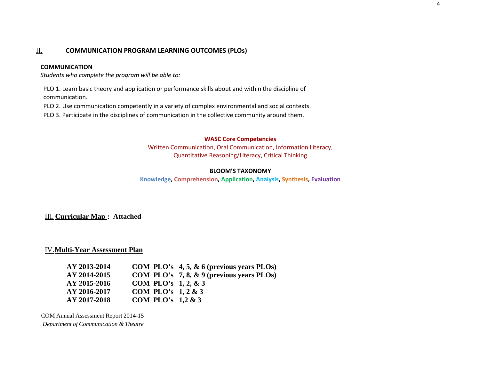# II. **COMMUNICATION PROGRAM LEARNING OUTCOMES (PLOs)**

#### **COMMUNICATION**

*Students who complete the program will be able to:*

PLO 1. Learn basic theory and application or performance skills about and within the discipline of communication.

PLO 2. Use communication competently in a variety of complex environmental and social contexts.

PLO 3. Participate in the disciplines of communication in the collective community around them.

#### **WASC Core Competencies**

Written Communication, Oral Communication, Information Literacy, Quantitative Reasoning/Literacy, Critical Thinking

#### **BLOOM'S TAXONOMY**

**Knowledge, Comprehension, Application, Analysis, Synthesis, Evaluation**

#### III. **Curricular Map : Attached**

#### IV.**Multi-Year Assessment Plan**

| AY 2013-2014 |                        | COM PLO's $4, 5, \& 6$ (previous years PLOs) |
|--------------|------------------------|----------------------------------------------|
| AY 2014-2015 |                        | COM PLO's 7, 8, $\&$ 9 (previous years PLOs) |
| AY 2015-2016 | COM PLO's $1, 2, 8, 3$ |                                              |
| AY 2016-2017 | COM PLO's $1, 2 \& 3$  |                                              |
| AY 2017-2018 | COM PLO's $1,2 \& 3$   |                                              |

COM Annual Assessment Report 2014-15

*Department of Communication & Theatre*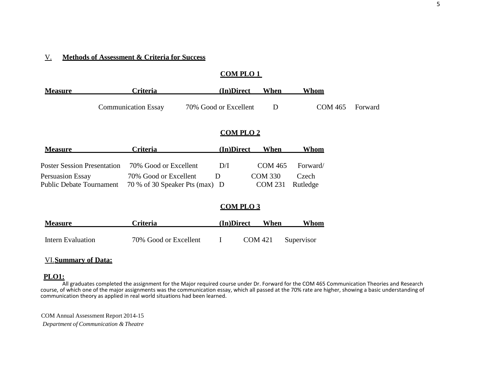#### V. **Methods of Assessment & Criteria for Success**

# **COM PLO 1**

| <b>Measure</b> | Criteria                   | (In)Direct            | When | Whom   |         |
|----------------|----------------------------|-----------------------|------|--------|---------|
|                | <b>Communication Essay</b> | 70% Good or Excellent |      | COM465 | Forward |

# **COM PLO 2**

| <b>Measure</b>                     | <b>Criteria</b>                | (In)Direct   | When           | <u>Whom</u> |
|------------------------------------|--------------------------------|--------------|----------------|-------------|
|                                    |                                |              |                |             |
| <b>Poster Session Presentation</b> | 70% Good or Excellent          | D/I          | COM 465        | Forward/    |
| Persuasion Essay                   | 70% Good or Excellent          | $\mathbf{D}$ | COM 330        | Czech       |
| <b>Public Debate Tournament</b>    | 70 % of 30 Speaker Pts (max) D |              | <b>COM 231</b> | Rutledge    |

# **COM PLO 3**

| <b>Measure</b>    | Criteria              | (In)Direct |         | When | Whom       |
|-------------------|-----------------------|------------|---------|------|------------|
|                   |                       |            |         |      | Supervisor |
| Intern Evaluation | 70% Good or Excellent |            | COM 421 |      |            |

# VI.**Summary of Data:**

#### **PLO1:**

All graduates completed the assignment for the Major required course under Dr. Forward for the COM 465 Communication Theories and Research course, of which one of the major assignments was the communication essay, which all passed at the 70% rate are higher, showing a basic understanding of communication theory as applied in real world situations had been learned.

COM Annual Assessment Report 2014-15 *Department of Communication & Theatre*